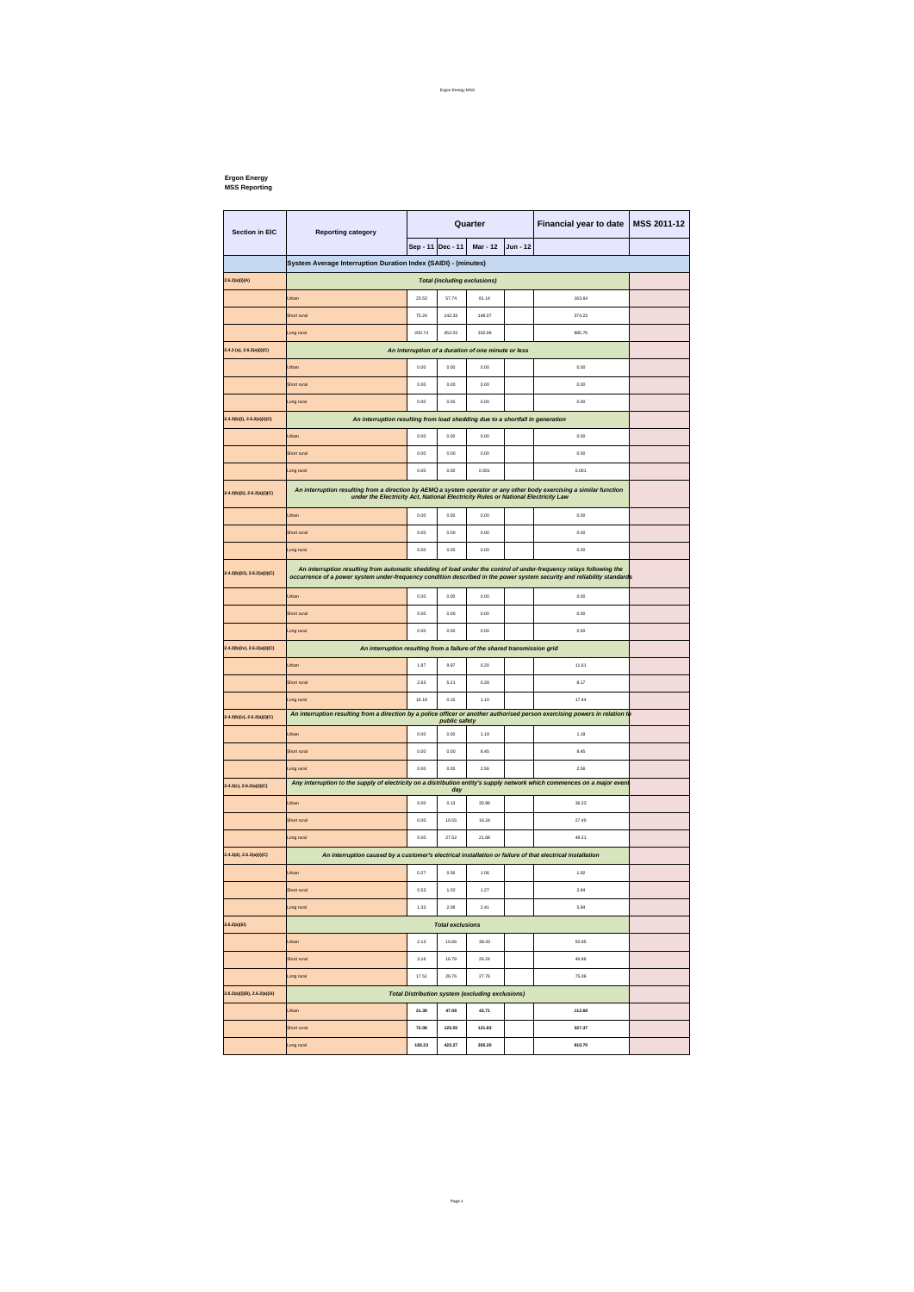## **Ergon Energy MSS Reporting**

| <b>Section in EIC</b>         | <b>Reporting category</b>                                                                                                                                                                                                                      | Quarter           |        |                                                         |          | Financial year to date | MSS 2011-12 |  |  |  |
|-------------------------------|------------------------------------------------------------------------------------------------------------------------------------------------------------------------------------------------------------------------------------------------|-------------------|--------|---------------------------------------------------------|----------|------------------------|-------------|--|--|--|
|                               |                                                                                                                                                                                                                                                | Sep - 11 Dec - 11 |        | <b>Mar - 12</b>                                         | Jun - 12 |                        |             |  |  |  |
|                               | System Average Interruption Duration Index (SAIDI) - (minutes)                                                                                                                                                                                 |                   |        |                                                         |          |                        |             |  |  |  |
| 2.6.2(a)(i)(A)                | <b>Total (including exclusions)</b>                                                                                                                                                                                                            |                   |        |                                                         |          |                        |             |  |  |  |
|                               | <b>Jrban</b>                                                                                                                                                                                                                                   | 23.53             | 57.74  | 81.14                                                   |          | 163.64                 |             |  |  |  |
|                               | Short rural                                                                                                                                                                                                                                    | 75.24             | 142.33 | 148.07                                                  |          | 374.23                 |             |  |  |  |
|                               | ong rural                                                                                                                                                                                                                                      | 200.74            | 452.03 | 332.96                                                  |          | 985.76                 |             |  |  |  |
| 2.4.3 (a), 2.6.2(a)(i)(C)     |                                                                                                                                                                                                                                                |                   |        | An interruption of a duration of one minute or less     |          |                        |             |  |  |  |
|                               | <b>Jrban</b>                                                                                                                                                                                                                                   | 0.00              | 0.00   | 0.00                                                    |          | 0.00                   |             |  |  |  |
|                               | Short rural                                                                                                                                                                                                                                    | 0.00              | 0.00   | 0.00                                                    |          | 0.00                   |             |  |  |  |
|                               | ong rural                                                                                                                                                                                                                                      | 0.00              | 0.00   | 0.00                                                    |          | 0.00                   |             |  |  |  |
| 2.4.3(b)(i), 2.6.2(a)(i)(C)   | An interruption resulting from load shedding due to a shortfall in generation                                                                                                                                                                  |                   |        |                                                         |          |                        |             |  |  |  |
|                               | Urban                                                                                                                                                                                                                                          | 0.00              | 0.00   | 0.00                                                    |          | 0.00                   |             |  |  |  |
|                               | Short rural                                                                                                                                                                                                                                    | 0.00              | 0.00   | 0.00                                                    |          | 0.00                   |             |  |  |  |
|                               | ong rura.                                                                                                                                                                                                                                      | 0.00              | 0.00   | 0.001                                                   |          | 0.001                  |             |  |  |  |
| 2.4.3(b)(ii), 2.6.2(a)(i)(C)  | An interruption resulting from a direction by AEMQ a system operator or any other body exercising a similar function<br>under the Electricity Act, National Electricity Rules or National Electricity Law                                      |                   |        |                                                         |          |                        |             |  |  |  |
|                               | Jrban                                                                                                                                                                                                                                          | 0.00              | 0.00   | 0.00                                                    |          | 0.00                   |             |  |  |  |
|                               | Short rural                                                                                                                                                                                                                                    | 0.00              | 0.00   | 0.00                                                    |          | 0.00                   |             |  |  |  |
|                               | ong rural                                                                                                                                                                                                                                      | 0.00              | 0.00   | 0.00                                                    |          | 0.00                   |             |  |  |  |
| 2.4.3(b)(iii), 2.6.2(a)(i)(C) | An interruption resulting from automatic shedding of load under the control of under-frequency relays following the<br>occurrence of a power system under-frequency condition described in the power system security and reliability standards |                   |        |                                                         |          |                        |             |  |  |  |
|                               | Jrban                                                                                                                                                                                                                                          | 0.00              | 0.00   | 0.00                                                    |          | 0.00                   |             |  |  |  |
|                               | Short rural                                                                                                                                                                                                                                    | 0.00              | 0.00   | 0.00                                                    |          | 0.00                   |             |  |  |  |
|                               | ong rural                                                                                                                                                                                                                                      | 0.00              | 0.00   | 0.00                                                    |          | 0.00                   |             |  |  |  |
| 2.4.3(b)(iv), 2.6.2(a)(i)(C)  | An interruption resulting from a failure of the shared transmission grid                                                                                                                                                                       |                   |        |                                                         |          |                        |             |  |  |  |
|                               | Jrban                                                                                                                                                                                                                                          | 1.87              | 9.97   | 0.20                                                    |          | 11.61                  |             |  |  |  |
|                               | Short rura                                                                                                                                                                                                                                     | 2.63              | 5.21   | 0.28                                                    |          | 8.17                   |             |  |  |  |
|                               | ong rural                                                                                                                                                                                                                                      | 16.18             | 0.15   | 1.10                                                    |          | 17.44                  |             |  |  |  |
| 2.4.3(b)(v), 2.6.2(a)(i)(C)   | An interruption resulting from a direction by a police officer or another authorised person exercising powers in relation to<br>public safety                                                                                                  |                   |        |                                                         |          |                        |             |  |  |  |
|                               | Jrban                                                                                                                                                                                                                                          | 0.00              | 0.00   | 1.19                                                    |          | 1.19                   |             |  |  |  |
|                               | Short rural                                                                                                                                                                                                                                    | 0.00              | 0.00   | 8.45                                                    |          | 8.45                   |             |  |  |  |
|                               | ong rural                                                                                                                                                                                                                                      | 0.00              | 0.00   | 2.56                                                    |          | 2.56                   |             |  |  |  |
| 2.4.3(c), 2.6.2(a)(i)(C)      | Any interruption to the supply of electricity on a distribution entity's supply network which commences on a major even                                                                                                                        |                   | day    |                                                         |          |                        |             |  |  |  |
|                               | Jrban                                                                                                                                                                                                                                          | 0.00              | 0.13   | 35.98                                                   |          | 36.23                  |             |  |  |  |
|                               | Short rural                                                                                                                                                                                                                                    | 0.00              | 10.55  | 16.24                                                   |          | 27.40                  |             |  |  |  |
|                               | ong rural                                                                                                                                                                                                                                      | 0.00              | 27.52  | 21.68                                                   |          | 49.21                  |             |  |  |  |
| 2.4.3(d), 2.6.2(a)(i)(C)      | An interruption caused by a customer's electrical installation or failure of that electrical installation                                                                                                                                      |                   |        |                                                         |          |                        |             |  |  |  |
|                               | Jrban                                                                                                                                                                                                                                          | 0.27              | 0.56   | 1.06                                                    |          | 1.92                   |             |  |  |  |
|                               | Short rural                                                                                                                                                                                                                                    | 0.53              | 1.02   | 1.27                                                    |          | 2.84                   |             |  |  |  |
|                               | Long rural                                                                                                                                                                                                                                     | 1.33              | 2.08   | 2.41                                                    |          | 5.84                   |             |  |  |  |
| 2.6.2(a)(iii)                 | <b>Total exclusions</b>                                                                                                                                                                                                                        |                   |        |                                                         |          |                        |             |  |  |  |
|                               | Urban                                                                                                                                                                                                                                          | 2.13              | 10.66  | 38.43                                                   |          | 50.95                  |             |  |  |  |
|                               | Short rural                                                                                                                                                                                                                                    | 3.16              | 16.78  | 26.24                                                   |          | 46.86                  |             |  |  |  |
|                               | Long rural                                                                                                                                                                                                                                     | 17.51             | 29.76  | 27.76                                                   |          | 75.06                  |             |  |  |  |
| 2.6.2(a)(i)(B), 2.6.2(a)(iii) |                                                                                                                                                                                                                                                |                   |        | <b>Total Distribution system (excluding exclusions)</b> |          |                        |             |  |  |  |
|                               | Urban                                                                                                                                                                                                                                          | 21.39             | 47.08  | 42.71                                                   |          | 112.69                 |             |  |  |  |
|                               | Short rural                                                                                                                                                                                                                                    | 72.08             | 125.55 | 121.83                                                  |          | 327.37                 |             |  |  |  |
|                               | ong rural                                                                                                                                                                                                                                      | 183.23            | 422.27 | 305.20                                                  |          | 910.70                 |             |  |  |  |

Ergon Energy MSS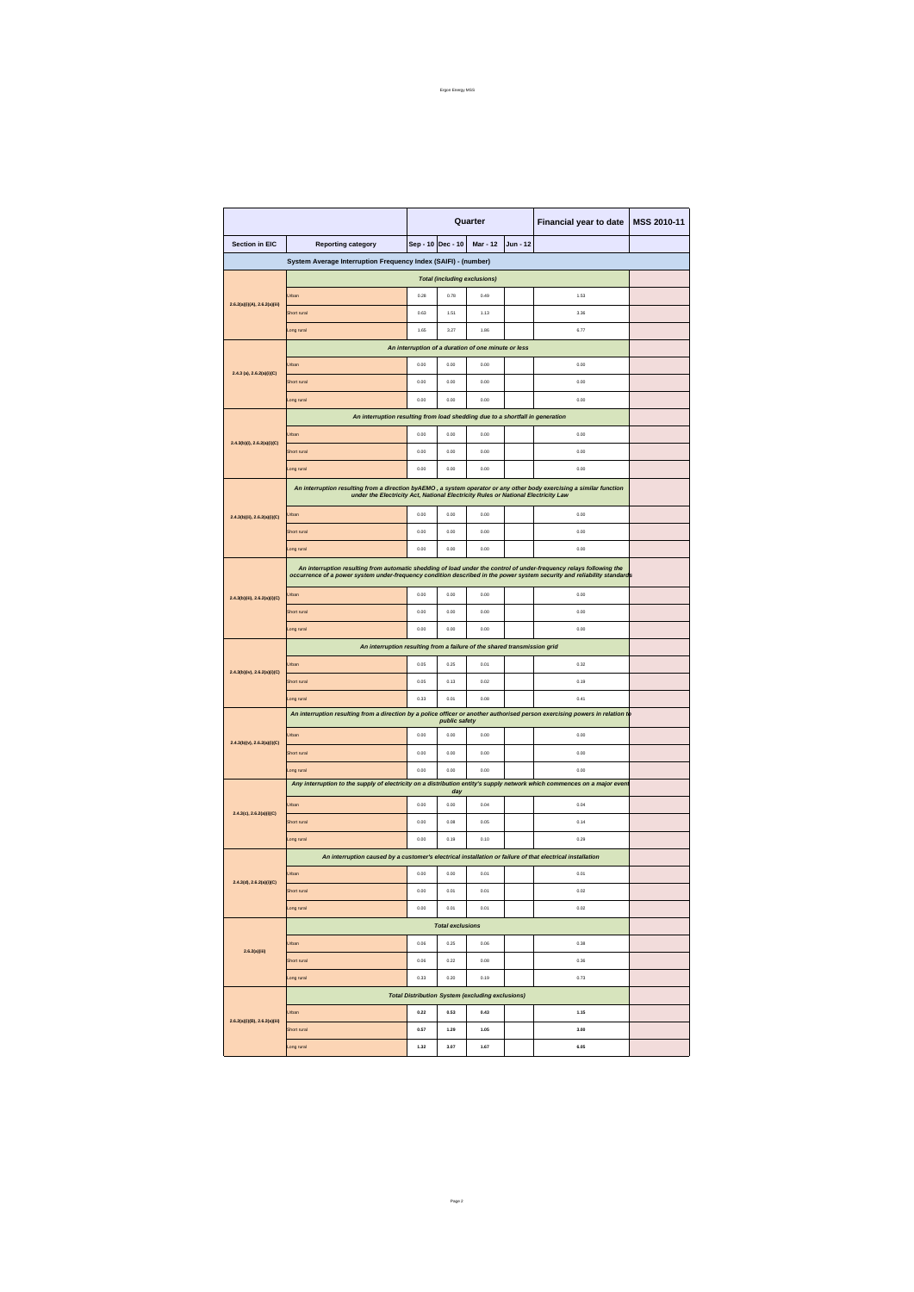|                                                         |                                                                                                                                                                                                                                                | Quarter |                         |          |          | Financial year to date | MSS 2010-11 |  |  |  |
|---------------------------------------------------------|------------------------------------------------------------------------------------------------------------------------------------------------------------------------------------------------------------------------------------------------|---------|-------------------------|----------|----------|------------------------|-------------|--|--|--|
| Section in EIC                                          | <b>Reporting category</b>                                                                                                                                                                                                                      |         | Sep - 10 Dec - 10       | Mar - 12 | Jun - 12 |                        |             |  |  |  |
|                                                         | System Average Interruption Frequency Index (SAIFI) - (number)                                                                                                                                                                                 |         |                         |          |          |                        |             |  |  |  |
| <b>Total (including exclusions)</b>                     |                                                                                                                                                                                                                                                |         |                         |          |          |                        |             |  |  |  |
|                                                         | Jrban                                                                                                                                                                                                                                          | 0.28    | 0.78                    | 0.49     |          | 1.53                   |             |  |  |  |
| 2.6.2(a)(i)(A), 2.6.2(a)(iii)                           | Short rural                                                                                                                                                                                                                                    | 0.63    | 1.51                    | 1.13     |          | 3.36                   |             |  |  |  |
|                                                         | ong rural                                                                                                                                                                                                                                      | 1.65    | 3.27                    | 1.86     |          | 6.77                   |             |  |  |  |
|                                                         | An interruption of a duration of one minute or less                                                                                                                                                                                            |         |                         |          |          |                        |             |  |  |  |
| $2.4.3$ (a), $2.6.2(a)(i)(C)$                           | Jrban                                                                                                                                                                                                                                          | 0.00    | 0.00                    | 0.00     |          | 0.00                   |             |  |  |  |
|                                                         | Short rura                                                                                                                                                                                                                                     | 0.00    | 0.00                    | 0.00     |          | 0.00                   |             |  |  |  |
|                                                         | ong rural                                                                                                                                                                                                                                      | 0.00    | 0.00                    | 0.00     |          | 0.00                   |             |  |  |  |
|                                                         | An interruption resulting from load shedding due to a shortfall in generation                                                                                                                                                                  |         |                         |          |          |                        |             |  |  |  |
|                                                         | Jrban                                                                                                                                                                                                                                          | 0.00    | 0.00                    | 0.00     |          | 0.00                   |             |  |  |  |
| $2.4.3(b)(i)$ , $2.6.2(a)(i)(C)$                        | Short rura                                                                                                                                                                                                                                     | 0.00    | 0.00                    | 0.00     |          | 0.00                   |             |  |  |  |
|                                                         | ong rural                                                                                                                                                                                                                                      | 0.00    | 0.00                    | 0.00     |          | 0.00                   |             |  |  |  |
|                                                         | An interruption resulting from a direction byAEMO, a system operator or any other body exercising a similar function                                                                                                                           |         |                         |          |          |                        |             |  |  |  |
|                                                         | under the Electricity Act, National Electricity Rules or National Electricity Law                                                                                                                                                              |         |                         |          |          |                        |             |  |  |  |
| 2.4.3(b)(ii), 2.6.2(a)(i)(C)                            | Jrban                                                                                                                                                                                                                                          | 0.00    | 0.00                    | 0.00     |          | 0.00                   |             |  |  |  |
|                                                         | Short rural                                                                                                                                                                                                                                    | 0.00    | 0.00                    | 0.00     |          | 0.00                   |             |  |  |  |
|                                                         | ong rural                                                                                                                                                                                                                                      | 0.00    | 0.00                    | 0.00     |          | 0.00                   |             |  |  |  |
|                                                         | An interruption resulting from automatic shedding of load under the control of under-frequency relays following the<br>occurrence of a power system under-frequency condition described in the power system security and reliability standards |         |                         |          |          |                        |             |  |  |  |
| 2.4.3(b)(iii), 2.6.2(a)(i)(C)                           | Jrban                                                                                                                                                                                                                                          | 0.00    | 0.00                    | 0.00     |          | 0.00                   |             |  |  |  |
|                                                         | Short rural                                                                                                                                                                                                                                    | 0.00    | 0.00                    | 0.00     |          | 0.00                   |             |  |  |  |
|                                                         | ong rural                                                                                                                                                                                                                                      | 0.00    | 0.00                    | 0.00     |          | 0.00                   |             |  |  |  |
|                                                         | An interruption resulting from a failure of the shared transmission grid                                                                                                                                                                       |         |                         |          |          |                        |             |  |  |  |
|                                                         | Jrban                                                                                                                                                                                                                                          | 0.05    | 0.25                    | 0.01     |          | 0.32                   |             |  |  |  |
| 2.4.3(b)(iv), 2.6.2(a)(i)(C)                            | Short rural                                                                                                                                                                                                                                    | 0.05    | 0.13                    | 0.02     |          | 0.19                   |             |  |  |  |
|                                                         | ong rural                                                                                                                                                                                                                                      | 0.33    | 0.01                    | 0.08     |          | 0.41                   |             |  |  |  |
|                                                         | An interruption resulting from a direction by a police officer or another authorised person exercising powers in relation to<br>public safety                                                                                                  |         |                         |          |          |                        |             |  |  |  |
| 2.4.3(b)(v), 2.6.2(a)(i)(C)                             | Irban                                                                                                                                                                                                                                          | 0.00    | 0.00                    | 0.00     |          | 0.00                   |             |  |  |  |
|                                                         | Short rura                                                                                                                                                                                                                                     | 0.00    | 0.00                    | 0.00     |          | 0.00                   |             |  |  |  |
|                                                         | ong rural                                                                                                                                                                                                                                      | 0.00    | 0.00                    | 0.00     |          | 0.00                   |             |  |  |  |
|                                                         | Any interruption to the supply of electricity on a distribution entity's supply network which commences on a major even                                                                                                                        |         | day                     |          |          |                        |             |  |  |  |
|                                                         | Jrban                                                                                                                                                                                                                                          | 0.00    | 0.00                    | 0.04     |          | 0.04                   |             |  |  |  |
| 2.4.3(c), 2.6.2(a)(i)(C)                                | Short rural                                                                                                                                                                                                                                    | 0.00    | 0.08                    | 0.05     |          | 0.14                   |             |  |  |  |
|                                                         | ong rural                                                                                                                                                                                                                                      | 0.00    | 0.19                    | 0.10     |          | 0.29                   |             |  |  |  |
|                                                         | An interruption caused by a customer's electrical installation or failure of that electrical installation                                                                                                                                      |         |                         |          |          |                        |             |  |  |  |
| 2.4.3(d), 2.6.2(a)(i)(C)                                | Jrban                                                                                                                                                                                                                                          | 0.00    | 0.00                    | 0.01     |          | 0.01                   |             |  |  |  |
|                                                         | Short rural                                                                                                                                                                                                                                    | 0.00    | 0.01                    | 0.01     |          | 0.02                   |             |  |  |  |
|                                                         | ong rural                                                                                                                                                                                                                                      | 0.00    | 0.01                    | 0.01     |          | 0.02                   |             |  |  |  |
|                                                         |                                                                                                                                                                                                                                                |         | <b>Total exclusions</b> |          |          |                        |             |  |  |  |
| 2.6.2(a)(iii)                                           | Urban                                                                                                                                                                                                                                          | 0.06    | 0.25                    | 0.06     |          | 0.38                   |             |  |  |  |
|                                                         | Short rural                                                                                                                                                                                                                                    | 0.06    | 0.22                    | 0.08     |          | 0.36                   |             |  |  |  |
|                                                         | Long rural                                                                                                                                                                                                                                     | 0.33    | 0.20                    | 0.19     |          | 0.73                   |             |  |  |  |
| <b>Total Distribution System (excluding exclusions)</b> |                                                                                                                                                                                                                                                |         |                         |          |          |                        |             |  |  |  |
| 2.6.2(a)(i)(B), 2.6.2(a)(iii)                           | Urban                                                                                                                                                                                                                                          | 0.22    | 0.53                    | 0.43     |          | 1.15                   |             |  |  |  |
|                                                         | Short rural                                                                                                                                                                                                                                    | 0.57    | 1.29                    | 1.05     |          | 3.00                   |             |  |  |  |
|                                                         | ong rural                                                                                                                                                                                                                                      | 1.32    | 3.07                    | 1.67     |          | 6.05                   |             |  |  |  |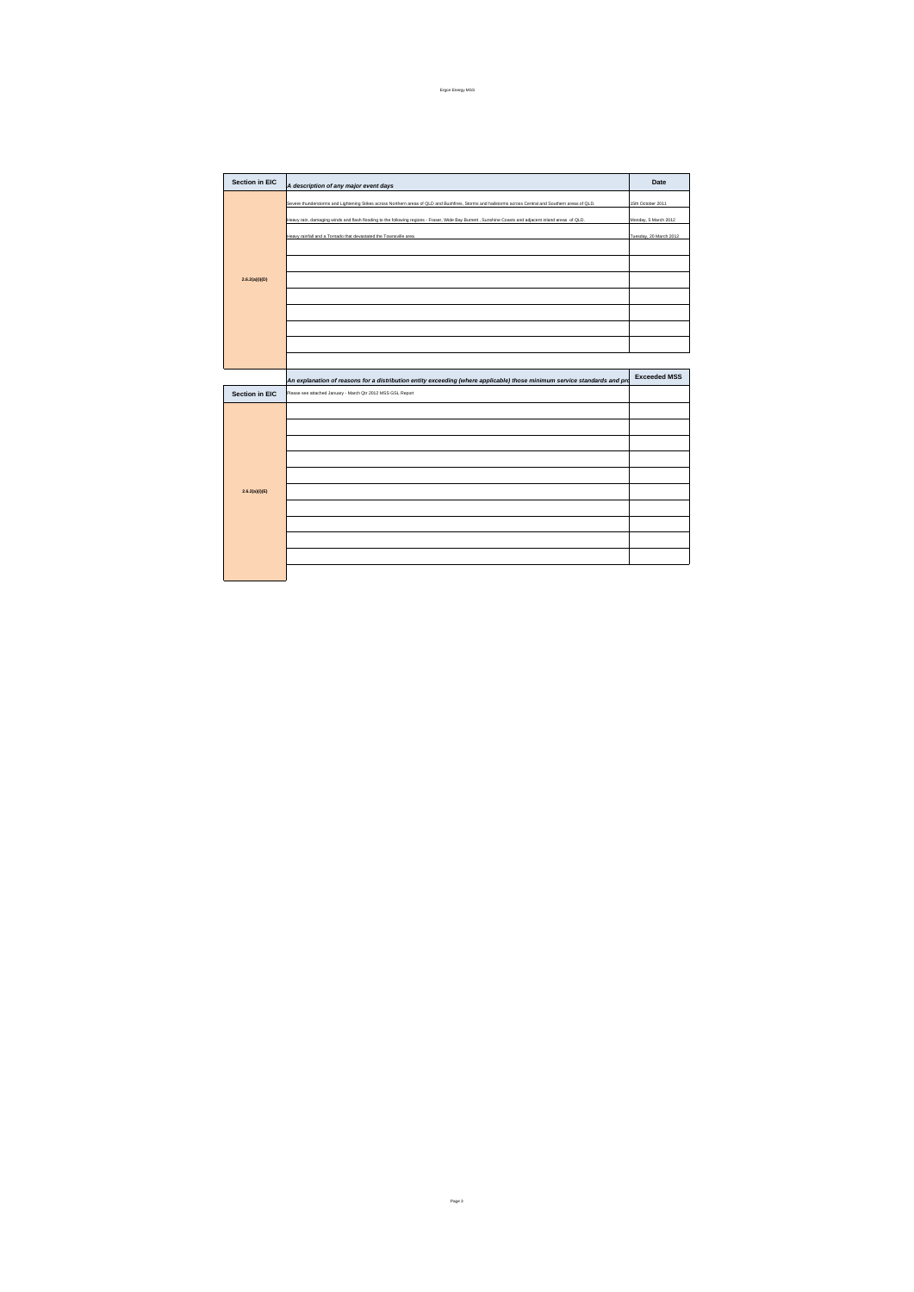| <b>Section in EIC</b> |                                                                                                                                                        | Date                   |
|-----------------------|--------------------------------------------------------------------------------------------------------------------------------------------------------|------------------------|
|                       | A description of any major event days                                                                                                                  |                        |
|                       | Severe thunderstorms and Lightening Stikes across Northern areas of QLD and Bushfires, Storms and hailstorms across Central and Southern areas of QLD. | 15th October 2011      |
|                       | Heavy rain, damaging winds and flash flooding to the following regions - Fraser, Wide Bay Burnett , Sunshine Coasts and adjacent inland areas of QLD.  | Monday, 5 March 2012   |
|                       | Heavy rainfall and a Tornado that devastated the Townsville area                                                                                       | Tuesday, 20 March 2012 |
|                       |                                                                                                                                                        |                        |
|                       |                                                                                                                                                        |                        |
| 2.6.2(a)(i)(D)        |                                                                                                                                                        |                        |
|                       |                                                                                                                                                        |                        |
|                       |                                                                                                                                                        |                        |
|                       |                                                                                                                                                        |                        |
|                       |                                                                                                                                                        |                        |
|                       |                                                                                                                                                        |                        |
|                       | An explanation of reasons for a distribution entity exceeding (where applicable) those minimum service standards and pro                               | <b>Exceeded MSS</b>    |
| <b>Section in EIC</b> | Please see attached January - March Qtr 2012 MSS GSL Report                                                                                            |                        |
| 2.6.2(a)(i)(E)        |                                                                                                                                                        |                        |
|                       |                                                                                                                                                        |                        |
|                       |                                                                                                                                                        |                        |
|                       |                                                                                                                                                        |                        |
|                       |                                                                                                                                                        |                        |
|                       |                                                                                                                                                        |                        |
|                       |                                                                                                                                                        |                        |
|                       |                                                                                                                                                        |                        |
|                       |                                                                                                                                                        |                        |
|                       |                                                                                                                                                        |                        |
|                       |                                                                                                                                                        |                        |